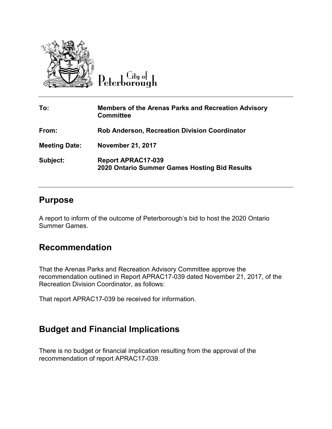

Peterborough

| To:                  | <b>Members of the Arenas Parks and Recreation Advisory</b><br><b>Committee</b> |
|----------------------|--------------------------------------------------------------------------------|
| From:                | <b>Rob Anderson, Recreation Division Coordinator</b>                           |
| <b>Meeting Date:</b> | <b>November 21, 2017</b>                                                       |
| Subject:             | <b>Report APRAC17-039</b><br>2020 Ontario Summer Games Hosting Bid Results     |

## **Purpose**

A report to inform of the outcome of Peterborough's bid to host the 2020 Ontario Summer Games.

## **Recommendation**

That the Arenas Parks and Recreation Advisory Committee approve the recommendation outlined in Report APRAC17-039 dated November 21, 2017, of the Recreation Division Coordinator, as follows:

That report APRAC17-039 be received for information.

## **Budget and Financial Implications**

There is no budget or financial implication resulting from the approval of the recommendation of report APRAC17-039.